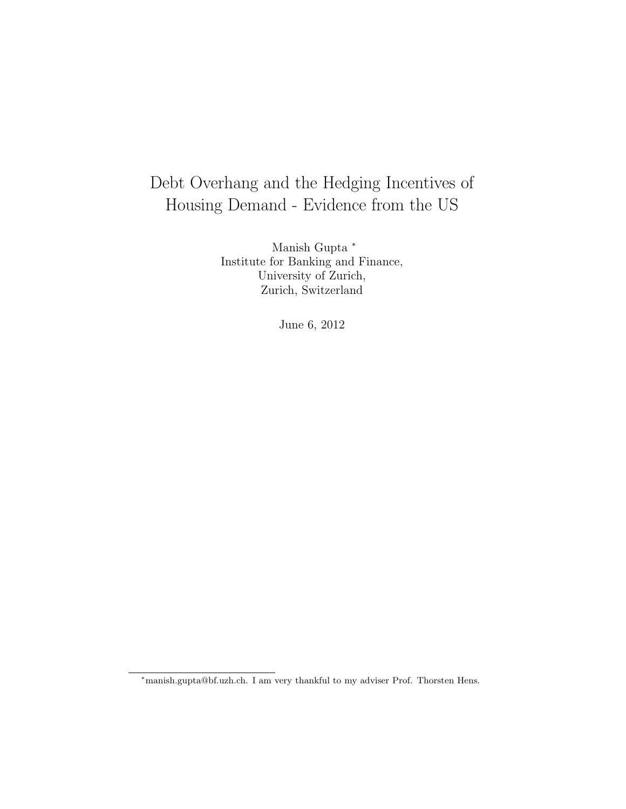# Debt Overhang and the Hedging Incentives of Housing Demand - Evidence from the US

Manish Gupta  $*$ Institute for Banking and Finance, University of Zurich, Zurich, Switzerland

June 6, 2012

<sup>∗</sup>manish.gupta@bf.uzh.ch. I am very thankful to my adviser Prof. Thorsten Hens.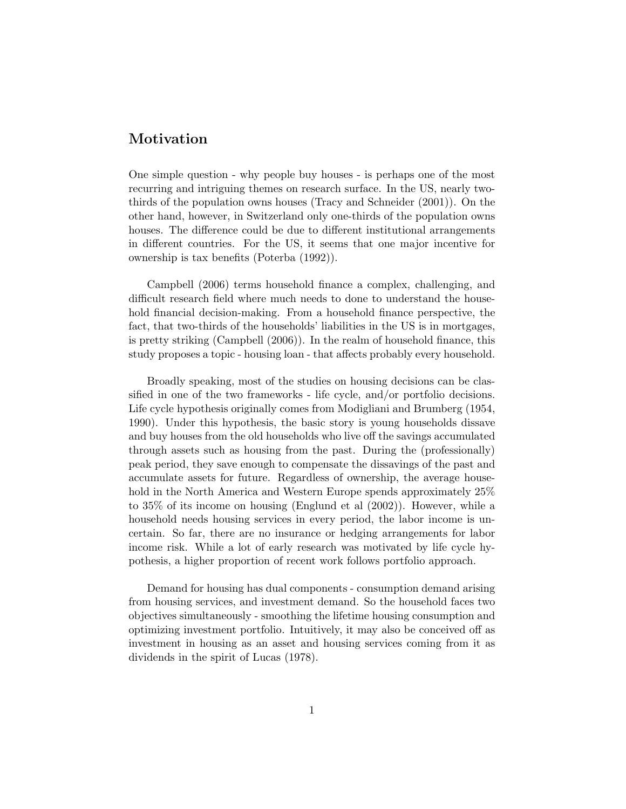### Motivation

One simple question - why people buy houses - is perhaps one of the most recurring and intriguing themes on research surface. In the US, nearly twothirds of the population owns houses (Tracy and Schneider (2001)). On the other hand, however, in Switzerland only one-thirds of the population owns houses. The difference could be due to different institutional arrangements in different countries. For the US, it seems that one major incentive for ownership is tax benefits (Poterba (1992)).

Campbell (2006) terms household finance a complex, challenging, and difficult research field where much needs to done to understand the household financial decision-making. From a household finance perspective, the fact, that two-thirds of the households' liabilities in the US is in mortgages, is pretty striking (Campbell (2006)). In the realm of household finance, this study proposes a topic - housing loan - that affects probably every household.

Broadly speaking, most of the studies on housing decisions can be classified in one of the two frameworks - life cycle, and/or portfolio decisions. Life cycle hypothesis originally comes from Modigliani and Brumberg (1954, 1990). Under this hypothesis, the basic story is young households dissave and buy houses from the old households who live off the savings accumulated through assets such as housing from the past. During the (professionally) peak period, they save enough to compensate the dissavings of the past and accumulate assets for future. Regardless of ownership, the average household in the North America and Western Europe spends approximately 25% to 35% of its income on housing (Englund et al (2002)). However, while a household needs housing services in every period, the labor income is uncertain. So far, there are no insurance or hedging arrangements for labor income risk. While a lot of early research was motivated by life cycle hypothesis, a higher proportion of recent work follows portfolio approach.

Demand for housing has dual components - consumption demand arising from housing services, and investment demand. So the household faces two objectives simultaneously - smoothing the lifetime housing consumption and optimizing investment portfolio. Intuitively, it may also be conceived off as investment in housing as an asset and housing services coming from it as dividends in the spirit of Lucas (1978).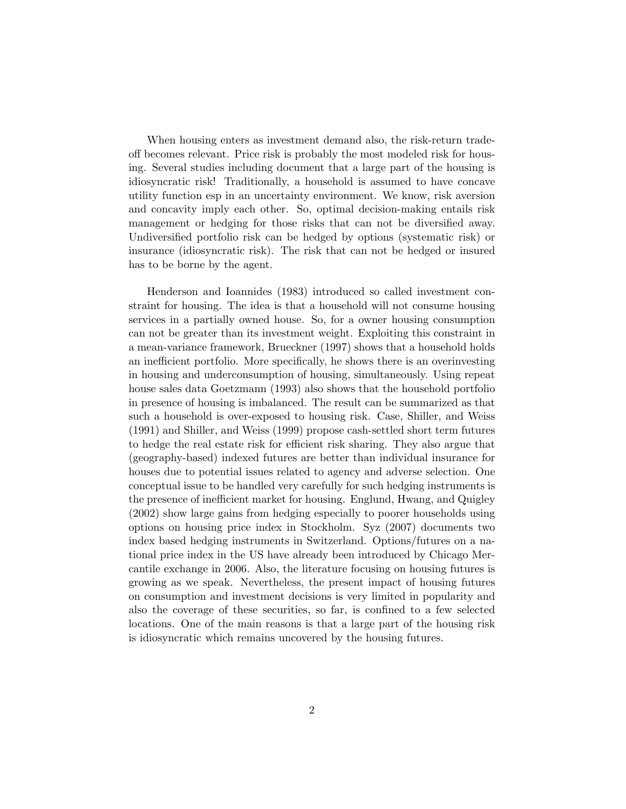When housing enters as investment demand also, the risk-return tradeoff becomes relevant. Price risk is probably the most modeled risk for housing. Several studies including document that a large part of the housing is idiosyncratic risk! Traditionally, a household is assumed to have concave utility function esp in an uncertainty environment. We know, risk aversion and concavity imply each other. So, optimal decision-making entails risk management or hedging for those risks that can not be diversified away. Undiversified portfolio risk can be hedged by options (systematic risk) or insurance (idiosyncratic risk). The risk that can not be hedged or insured has to be borne by the agent.

Henderson and Ioannides (1983) introduced so called investment constraint for housing. The idea is that a household will not consume housing services in a partially owned house. So, for a owner housing consumption can not be greater than its investment weight. Exploiting this constraint in a mean-variance framework, Brueckner (1997) shows that a household holds an inefficient portfolio. More specifically, he shows there is an overinvesting in housing and underconsumption of housing, simultaneously. Using repeat house sales data Goetzmann (1993) also shows that the household portfolio in presence of housing is imbalanced. The result can be summarized as that such a household is over-exposed to housing risk. Case, Shiller, and Weiss (1991) and Shiller, and Weiss (1999) propose cash-settled short term futures to hedge the real estate risk for efficient risk sharing. They also argue that (geography-based) indexed futures are better than individual insurance for houses due to potential issues related to agency and adverse selection. One conceptual issue to be handled very carefully for such hedging instruments is the presence of inefficient market for housing. Englund, Hwang, and Quigley (2002) show large gains from hedging especially to poorer households using options on housing price index in Stockholm. Syz (2007) documents two index based hedging instruments in Switzerland. Options/futures on a national price index in the US have already been introduced by Chicago Mercantile exchange in 2006. Also, the literature focusing on housing futures is growing as we speak. Nevertheless, the present impact of housing futures on consumption and investment decisions is very limited in popularity and also the coverage of these securities, so far, is confined to a few selected locations. One of the main reasons is that a large part of the housing risk is idiosyncratic which remains uncovered by the housing futures.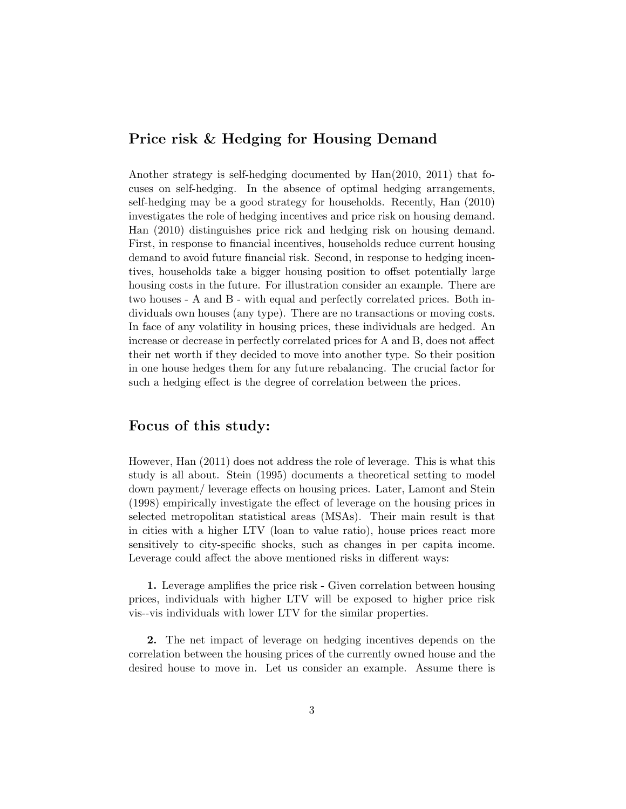## Price risk & Hedging for Housing Demand

Another strategy is self-hedging documented by Han(2010, 2011) that focuses on self-hedging. In the absence of optimal hedging arrangements, self-hedging may be a good strategy for households. Recently, Han (2010) investigates the role of hedging incentives and price risk on housing demand. Han (2010) distinguishes price rick and hedging risk on housing demand. First, in response to financial incentives, households reduce current housing demand to avoid future financial risk. Second, in response to hedging incentives, households take a bigger housing position to offset potentially large housing costs in the future. For illustration consider an example. There are two houses - A and B - with equal and perfectly correlated prices. Both individuals own houses (any type). There are no transactions or moving costs. In face of any volatility in housing prices, these individuals are hedged. An increase or decrease in perfectly correlated prices for A and B, does not affect their net worth if they decided to move into another type. So their position in one house hedges them for any future rebalancing. The crucial factor for such a hedging effect is the degree of correlation between the prices.

#### Focus of this study:

However, Han (2011) does not address the role of leverage. This is what this study is all about. Stein (1995) documents a theoretical setting to model down payment/ leverage effects on housing prices. Later, Lamont and Stein (1998) empirically investigate the effect of leverage on the housing prices in selected metropolitan statistical areas (MSAs). Their main result is that in cities with a higher LTV (loan to value ratio), house prices react more sensitively to city-specific shocks, such as changes in per capita income. Leverage could affect the above mentioned risks in different ways:

1. Leverage amplifies the price risk - Given correlation between housing prices, individuals with higher LTV will be exposed to higher price risk vis--vis individuals with lower LTV for the similar properties.

2. The net impact of leverage on hedging incentives depends on the correlation between the housing prices of the currently owned house and the desired house to move in. Let us consider an example. Assume there is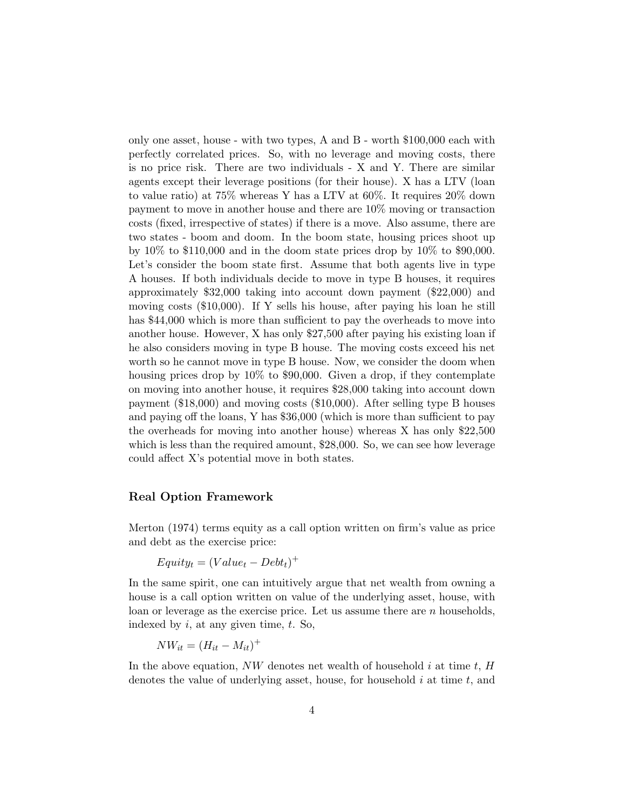only one asset, house - with two types, A and B - worth \$100,000 each with perfectly correlated prices. So, with no leverage and moving costs, there is no price risk. There are two individuals - X and Y. There are similar agents except their leverage positions (for their house). X has a LTV (loan to value ratio) at 75% whereas Y has a LTV at 60%. It requires 20% down payment to move in another house and there are 10% moving or transaction costs (fixed, irrespective of states) if there is a move. Also assume, there are two states - boom and doom. In the boom state, housing prices shoot up by  $10\%$  to \$110,000 and in the doom state prices drop by  $10\%$  to \$90,000. Let's consider the boom state first. Assume that both agents live in type A houses. If both individuals decide to move in type B houses, it requires approximately \$32,000 taking into account down payment (\$22,000) and moving costs (\$10,000). If Y sells his house, after paying his loan he still has \$44,000 which is more than sufficient to pay the overheads to move into another house. However, X has only \$27,500 after paying his existing loan if he also considers moving in type B house. The moving costs exceed his net worth so he cannot move in type B house. Now, we consider the doom when housing prices drop by 10% to \$90,000. Given a drop, if they contemplate on moving into another house, it requires \$28,000 taking into account down payment (\$18,000) and moving costs (\$10,000). After selling type B houses and paying off the loans, Y has \$36,000 (which is more than sufficient to pay the overheads for moving into another house) whereas X has only \$22,500 which is less than the required amount, \$28,000. So, we can see how leverage could affect X's potential move in both states.

#### Real Option Framework

Merton (1974) terms equity as a call option written on firm's value as price and debt as the exercise price:

$$
Equity_t = (Value_t - Debt_t)^+
$$

In the same spirit, one can intuitively argue that net wealth from owning a house is a call option written on value of the underlying asset, house, with loan or leverage as the exercise price. Let us assume there are n households, indexed by  $i$ , at any given time,  $t$ . So,

$$
NW_{it} = (H_{it} - M_{it})^{+}
$$

In the above equation,  $NW$  denotes net wealth of household i at time t,  $H$ denotes the value of underlying asset, house, for household  $i$  at time  $t$ , and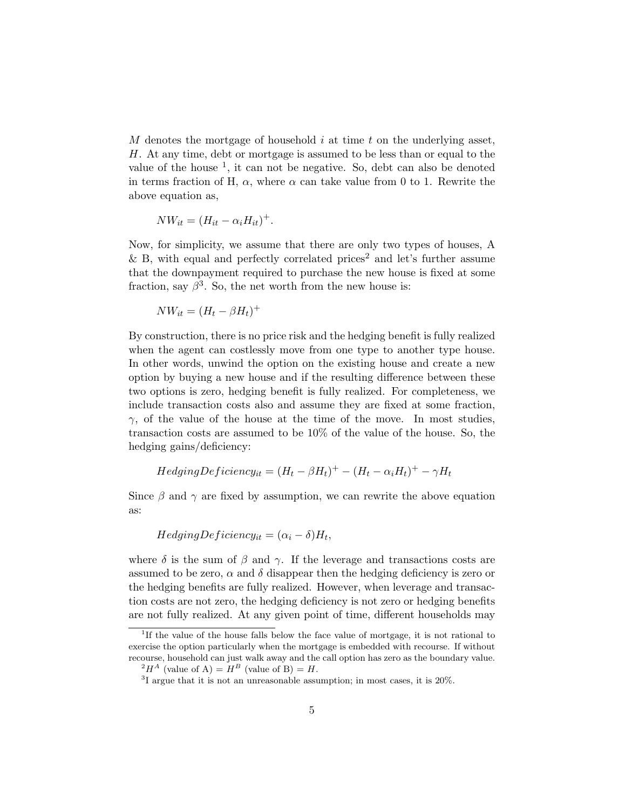$M$  denotes the mortgage of household  $i$  at time  $t$  on the underlying asset, H. At any time, debt or mortgage is assumed to be less than or equal to the value of the house  $<sup>1</sup>$ , it can not be negative. So, debt can also be denoted</sup> in terms fraction of H,  $\alpha$ , where  $\alpha$  can take value from 0 to 1. Rewrite the above equation as,

$$
NW_{it} = (H_{it} - \alpha_i H_{it})^+.
$$

Now, for simplicity, we assume that there are only two types of houses, A  $&$  B, with equal and perfectly correlated prices<sup>2</sup> and let's further assume that the downpayment required to purchase the new house is fixed at some fraction, say  $\beta^3$ . So, the net worth from the new house is:

$$
NW_{it} = (H_t - \beta H_t)^+
$$

By construction, there is no price risk and the hedging benefit is fully realized when the agent can costlessly move from one type to another type house. In other words, unwind the option on the existing house and create a new option by buying a new house and if the resulting difference between these two options is zero, hedging benefit is fully realized. For completeness, we include transaction costs also and assume they are fixed at some fraction,  $\gamma$ , of the value of the house at the time of the move. In most studies, transaction costs are assumed to be 10% of the value of the house. So, the hedging gains/deficiency:

$$
Hedging Deficiency_{it} = (H_t - \beta H_t)^+ - (H_t - \alpha_i H_t)^+ - \gamma H_t
$$

Since  $\beta$  and  $\gamma$  are fixed by assumption, we can rewrite the above equation as:

$$
HedgingDeficiency_{it} = (\alpha_i - \delta)H_t,
$$

where  $\delta$  is the sum of  $\beta$  and  $\gamma$ . If the leverage and transactions costs are assumed to be zero,  $\alpha$  and  $\delta$  disappear then the hedging deficiency is zero or the hedging benefits are fully realized. However, when leverage and transaction costs are not zero, the hedging deficiency is not zero or hedging benefits are not fully realized. At any given point of time, different households may

<sup>&</sup>lt;sup>1</sup>If the value of the house falls below the face value of mortgage, it is not rational to exercise the option particularly when the mortgage is embedded with recourse. If without recourse, household can just walk away and the call option has zero as the boundary value.

 $^{2}H^{A}$  (value of A) =  $H^{B}$  (value of B) = H.

<sup>&</sup>lt;sup>3</sup>I argue that it is not an unreasonable assumption; in most cases, it is 20%.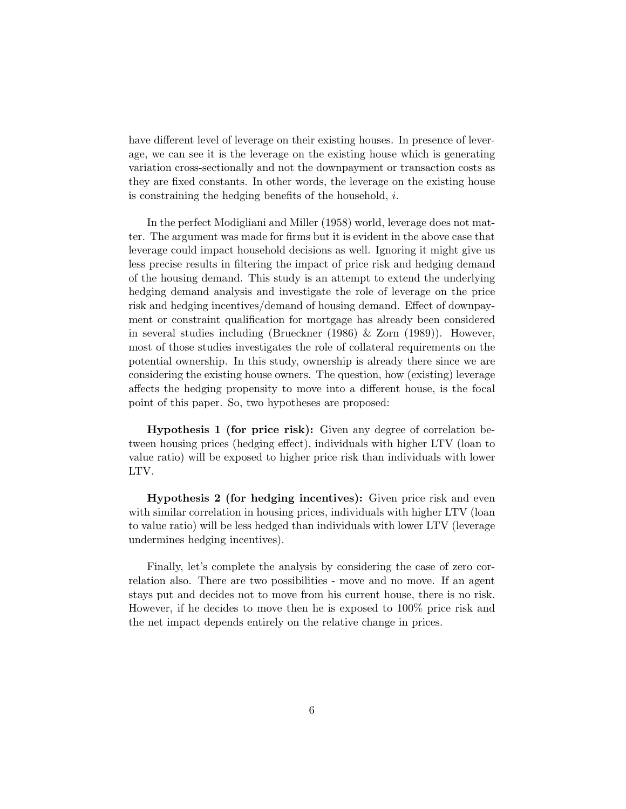have different level of leverage on their existing houses. In presence of leverage, we can see it is the leverage on the existing house which is generating variation cross-sectionally and not the downpayment or transaction costs as they are fixed constants. In other words, the leverage on the existing house is constraining the hedging benefits of the household,  $i$ .

In the perfect Modigliani and Miller (1958) world, leverage does not matter. The argument was made for firms but it is evident in the above case that leverage could impact household decisions as well. Ignoring it might give us less precise results in filtering the impact of price risk and hedging demand of the housing demand. This study is an attempt to extend the underlying hedging demand analysis and investigate the role of leverage on the price risk and hedging incentives/demand of housing demand. Effect of downpayment or constraint qualification for mortgage has already been considered in several studies including (Brueckner (1986) & Zorn (1989)). However, most of those studies investigates the role of collateral requirements on the potential ownership. In this study, ownership is already there since we are considering the existing house owners. The question, how (existing) leverage affects the hedging propensity to move into a different house, is the focal point of this paper. So, two hypotheses are proposed:

Hypothesis 1 (for price risk): Given any degree of correlation between housing prices (hedging effect), individuals with higher LTV (loan to value ratio) will be exposed to higher price risk than individuals with lower LTV.

Hypothesis 2 (for hedging incentives): Given price risk and even with similar correlation in housing prices, individuals with higher LTV (loan to value ratio) will be less hedged than individuals with lower LTV (leverage undermines hedging incentives).

Finally, let's complete the analysis by considering the case of zero correlation also. There are two possibilities - move and no move. If an agent stays put and decides not to move from his current house, there is no risk. However, if he decides to move then he is exposed to 100% price risk and the net impact depends entirely on the relative change in prices.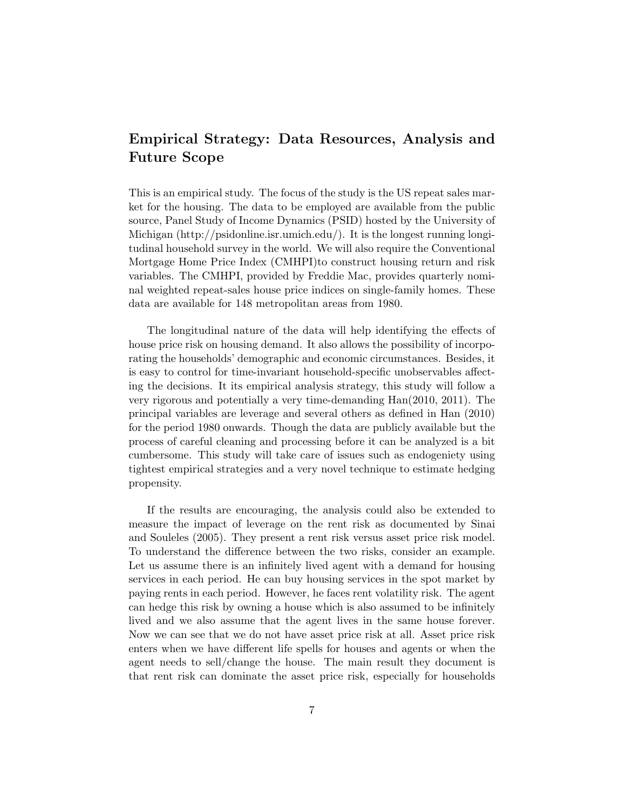## Empirical Strategy: Data Resources, Analysis and Future Scope

This is an empirical study. The focus of the study is the US repeat sales market for the housing. The data to be employed are available from the public source, Panel Study of Income Dynamics (PSID) hosted by the University of Michigan (http://psidonline.isr.umich.edu/). It is the longest running longitudinal household survey in the world. We will also require the Conventional Mortgage Home Price Index (CMHPI)to construct housing return and risk variables. The CMHPI, provided by Freddie Mac, provides quarterly nominal weighted repeat-sales house price indices on single-family homes. These data are available for 148 metropolitan areas from 1980.

The longitudinal nature of the data will help identifying the effects of house price risk on housing demand. It also allows the possibility of incorporating the households' demographic and economic circumstances. Besides, it is easy to control for time-invariant household-specific unobservables affecting the decisions. It its empirical analysis strategy, this study will follow a very rigorous and potentially a very time-demanding Han(2010, 2011). The principal variables are leverage and several others as defined in Han (2010) for the period 1980 onwards. Though the data are publicly available but the process of careful cleaning and processing before it can be analyzed is a bit cumbersome. This study will take care of issues such as endogeniety using tightest empirical strategies and a very novel technique to estimate hedging propensity.

If the results are encouraging, the analysis could also be extended to measure the impact of leverage on the rent risk as documented by Sinai and Souleles (2005). They present a rent risk versus asset price risk model. To understand the difference between the two risks, consider an example. Let us assume there is an infinitely lived agent with a demand for housing services in each period. He can buy housing services in the spot market by paying rents in each period. However, he faces rent volatility risk. The agent can hedge this risk by owning a house which is also assumed to be infinitely lived and we also assume that the agent lives in the same house forever. Now we can see that we do not have asset price risk at all. Asset price risk enters when we have different life spells for houses and agents or when the agent needs to sell/change the house. The main result they document is that rent risk can dominate the asset price risk, especially for households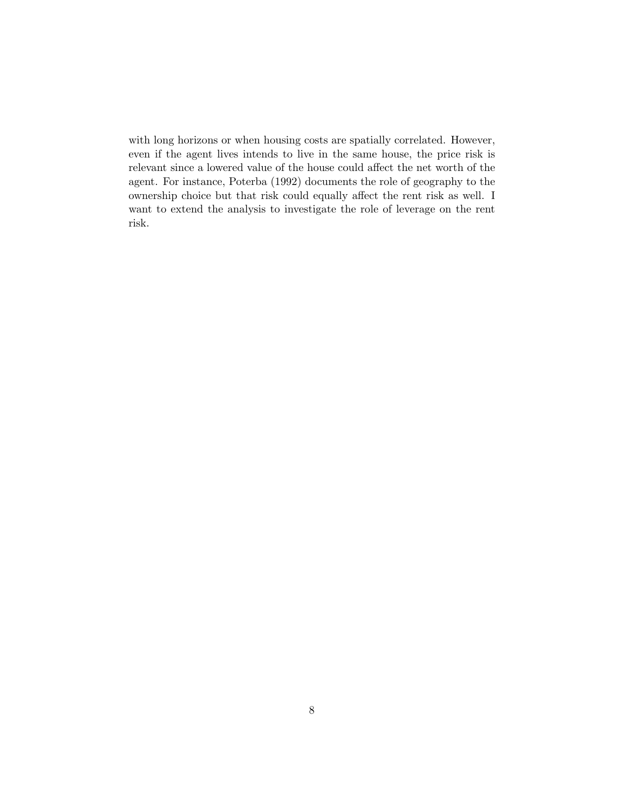with long horizons or when housing costs are spatially correlated. However, even if the agent lives intends to live in the same house, the price risk is relevant since a lowered value of the house could affect the net worth of the agent. For instance, Poterba (1992) documents the role of geography to the ownership choice but that risk could equally affect the rent risk as well. I want to extend the analysis to investigate the role of leverage on the rent risk.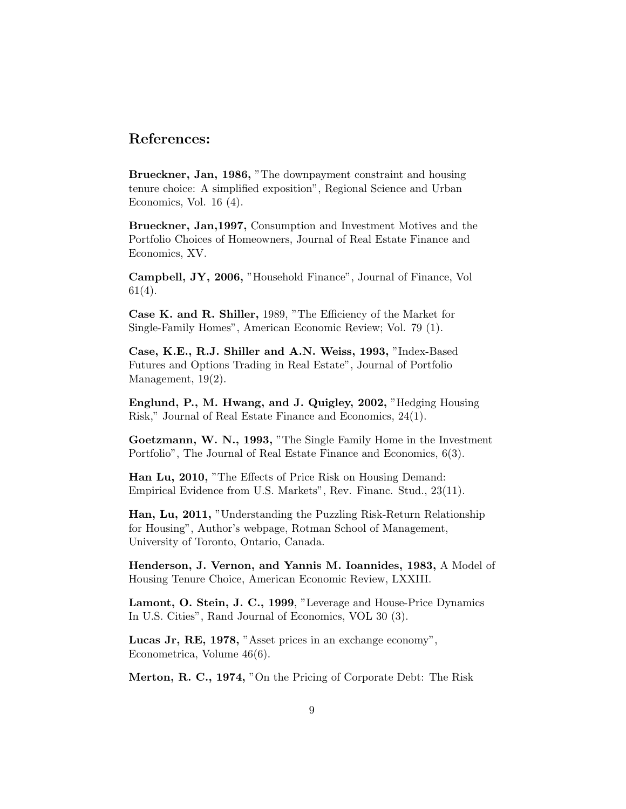#### References:

Brueckner, Jan, 1986, "The downpayment constraint and housing tenure choice: A simplified exposition", Regional Science and Urban Economics, Vol. 16 (4).

Brueckner, Jan,1997, Consumption and Investment Motives and the Portfolio Choices of Homeowners, Journal of Real Estate Finance and Economics, XV.

Campbell, JY, 2006, "Household Finance", Journal of Finance, Vol 61(4).

Case K. and R. Shiller, 1989, "The Efficiency of the Market for Single-Family Homes", American Economic Review; Vol. 79 (1).

Case, K.E., R.J. Shiller and A.N. Weiss, 1993, "Index-Based Futures and Options Trading in Real Estate", Journal of Portfolio Management, 19(2).

Englund, P., M. Hwang, and J. Quigley, 2002, "Hedging Housing Risk," Journal of Real Estate Finance and Economics, 24(1).

Goetzmann, W. N., 1993, "The Single Family Home in the Investment Portfolio", The Journal of Real Estate Finance and Economics, 6(3).

Han Lu, 2010, "The Effects of Price Risk on Housing Demand: Empirical Evidence from U.S. Markets", Rev. Financ. Stud., 23(11).

Han, Lu, 2011, "Understanding the Puzzling Risk-Return Relationship for Housing", Author's webpage, Rotman School of Management, University of Toronto, Ontario, Canada.

Henderson, J. Vernon, and Yannis M. Ioannides, 1983, A Model of Housing Tenure Choice, American Economic Review, LXXIII.

Lamont, O. Stein, J. C., 1999, "Leverage and House-Price Dynamics In U.S. Cities", Rand Journal of Economics, VOL 30 (3).

Lucas Jr, RE, 1978, "Asset prices in an exchange economy", Econometrica, Volume 46(6).

Merton, R. C., 1974, "On the Pricing of Corporate Debt: The Risk